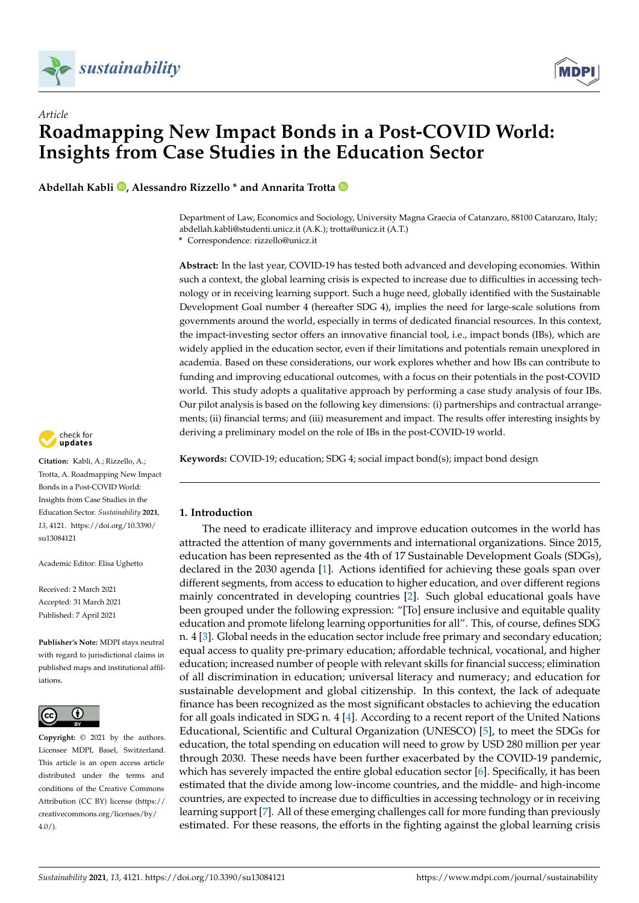



**Abdellah Kabli [,](https://orcid.org/0000-0003-3167-4932) Alessandro Rizzello \* and Annarita Trotta**

Department of Law, Economics and Sociology, University Magna Graecia of Catanzaro, 88100 Catanzaro, Italy; abdellah.kabli@studenti.unicz.it (A.K.); trotta@unicz.it (A.T.)

**\*** Correspondence: rizzello@unicz.it

**Abstract:** In the last year, COVID-19 has tested both advanced and developing economies. Within such a context, the global learning crisis is expected to increase due to difficulties in accessing technology or in receiving learning support. Such a huge need, globally identified with the Sustainable Development Goal number 4 (hereafter SDG 4), implies the need for large-scale solutions from governments around the world, especially in terms of dedicated financial resources. In this context, the impact-investing sector offers an innovative financial tool, i.e., impact bonds (IBs), which are widely applied in the education sector, even if their limitations and potentials remain unexplored in academia. Based on these considerations, our work explores whether and how IBs can contribute to funding and improving educational outcomes, with a focus on their potentials in the post-COVID world. This study adopts a qualitative approach by performing a case study analysis of four IBs. Our pilot analysis is based on the following key dimensions: (i) partnerships and contractual arrangements; (ii) financial terms; and (iii) measurement and impact. The results offer interesting insights by deriving a preliminary model on the role of IBs in the post-COVID-19 world.

**Keywords:** COVID-19; education; SDG 4; social impact bond(s); impact bond design

# **1. Introduction**

The need to eradicate illiteracy and improve education outcomes in the world has attracted the attention of many governments and international organizations. Since 2015, education has been represented as the 4th of 17 Sustainable Development Goals (SDGs), declared in the 2030 agenda [\[1\]](#page-12-0). Actions identified for achieving these goals span over different segments, from access to education to higher education, and over different regions mainly concentrated in developing countries [\[2\]](#page-12-1). Such global educational goals have been grouped under the following expression: "[To] ensure inclusive and equitable quality education and promote lifelong learning opportunities for all". This, of course, defines SDG n. 4 [\[3\]](#page-12-2). Global needs in the education sector include free primary and secondary education; equal access to quality pre-primary education; affordable technical, vocational, and higher education; increased number of people with relevant skills for financial success; elimination of all discrimination in education; universal literacy and numeracy; and education for sustainable development and global citizenship. In this context, the lack of adequate finance has been recognized as the most significant obstacles to achieving the education for all goals indicated in SDG n. 4 [\[4\]](#page-12-3). According to a recent report of the United Nations Educational, Scientific and Cultural Organization (UNESCO) [\[5\]](#page-12-4), to meet the SDGs for education, the total spending on education will need to grow by USD 280 million per year through 2030. These needs have been further exacerbated by the COVID-19 pandemic, which has severely impacted the entire global education sector [\[6\]](#page-13-0). Specifically, it has been estimated that the divide among low-income countries, and the middle- and high-income countries, are expected to increase due to difficulties in accessing technology or in receiving learning support [\[7\]](#page-13-1). All of these emerging challenges call for more funding than previously estimated. For these reasons, the efforts in the fighting against the global learning crisis



**Citation:** Kabli, A.; Rizzello, A.; Trotta, A. Roadmapping New Impact Bonds in a Post-COVID World: Insights from Case Studies in the Education Sector. *Sustainability* **2021**, *13*, 4121. [https://doi.org/10.3390/](https://doi.org/10.3390/su13084121) [su13084121](https://doi.org/10.3390/su13084121)

Academic Editor: Elisa Ughetto

Received: 2 March 2021 Accepted: 31 March 2021 Published: 7 April 2021

**Publisher's Note:** MDPI stays neutral with regard to jurisdictional claims in published maps and institutional affiliations.



**Copyright:** © 2021 by the authors. Licensee MDPI, Basel, Switzerland. This article is an open access article distributed under the terms and conditions of the Creative Commons Attribution (CC BY) license (https:/[/](https://creativecommons.org/licenses/by/4.0/) [creativecommons.org/licenses/by/](https://creativecommons.org/licenses/by/4.0/)  $4.0/$ ).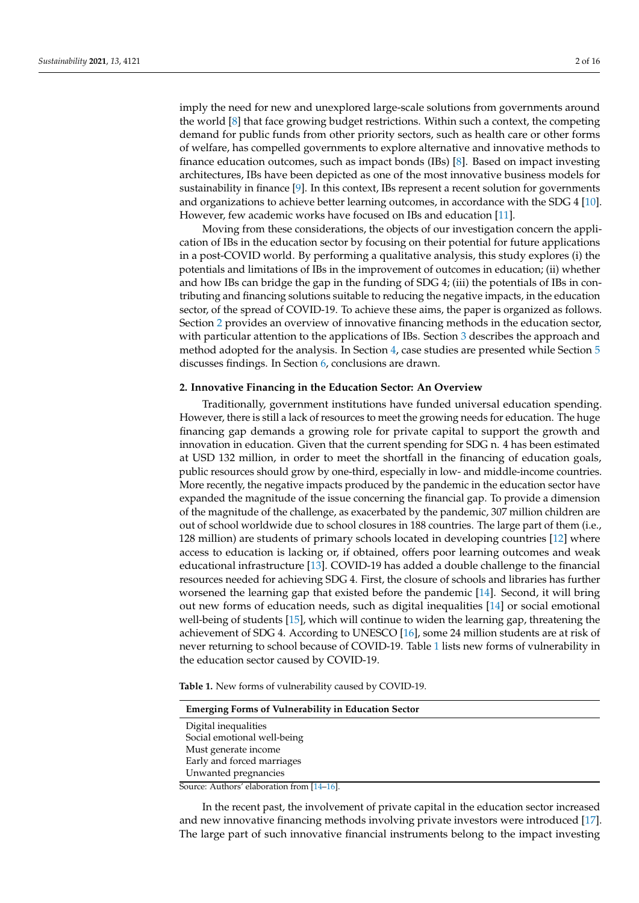imply the need for new and unexplored large-scale solutions from governments around the world [\[8\]](#page-13-2) that face growing budget restrictions. Within such a context, the competing demand for public funds from other priority sectors, such as health care or other forms of welfare, has compelled governments to explore alternative and innovative methods to finance education outcomes, such as impact bonds (IBs) [\[8\]](#page-13-2). Based on impact investing architectures, IBs have been depicted as one of the most innovative business models for sustainability in finance [\[9\]](#page-13-3). In this context, IBs represent a recent solution for governments and organizations to achieve better learning outcomes, in accordance with the SDG 4 [\[10\]](#page-13-4). However, few academic works have focused on IBs and education [\[11\]](#page-13-5).

Moving from these considerations, the objects of our investigation concern the application of IBs in the education sector by focusing on their potential for future applications in a post-COVID world. By performing a qualitative analysis, this study explores (i) the potentials and limitations of IBs in the improvement of outcomes in education; (ii) whether and how IBs can bridge the gap in the funding of SDG 4; (iii) the potentials of IBs in contributing and financing solutions suitable to reducing the negative impacts, in the education sector, of the spread of COVID-19. To achieve these aims, the paper is organized as follows. Section [2](#page-1-0) provides an overview of innovative financing methods in the education sector, with particular attention to the applications of IBs. Section [3](#page-4-0) describes the approach and method adopted for the analysis. In Section [4,](#page-5-0) case studies are presented while Section [5](#page-10-0) discusses findings. In Section [6,](#page-11-0) conclusions are drawn.

#### <span id="page-1-0"></span>**2. Innovative Financing in the Education Sector: An Overview**

Traditionally, government institutions have funded universal education spending. However, there is still a lack of resources to meet the growing needs for education. The huge financing gap demands a growing role for private capital to support the growth and innovation in education. Given that the current spending for SDG n. 4 has been estimated at USD 132 million, in order to meet the shortfall in the financing of education goals, public resources should grow by one-third, especially in low- and middle-income countries. More recently, the negative impacts produced by the pandemic in the education sector have expanded the magnitude of the issue concerning the financial gap. To provide a dimension of the magnitude of the challenge, as exacerbated by the pandemic, 307 million children are out of school worldwide due to school closures in 188 countries. The large part of them (i.e., 128 million) are students of primary schools located in developing countries [\[12\]](#page-13-6) where access to education is lacking or, if obtained, offers poor learning outcomes and weak educational infrastructure [\[13\]](#page-13-7). COVID-19 has added a double challenge to the financial resources needed for achieving SDG 4. First, the closure of schools and libraries has further worsened the learning gap that existed before the pandemic [\[14\]](#page-13-8). Second, it will bring out new forms of education needs, such as digital inequalities [\[14\]](#page-13-8) or social emotional well-being of students [\[15\]](#page-13-9), which will continue to widen the learning gap, threatening the achievement of SDG 4. According to UNESCO [\[16\]](#page-13-10), some 24 million students are at risk of never returning to school because of COVID-19. Table [1](#page-1-1) lists new forms of vulnerability in the education sector caused by COVID-19.

<span id="page-1-1"></span>**Table 1.** New forms of vulnerability caused by COVID-19.

| <b>Emerging Forms of Vulnerability in Education Sector</b> |
|------------------------------------------------------------|
| Digital inequalities                                       |
| Social emotional well-being                                |
| Must generate income                                       |
| Early and forced marriages                                 |
| Unwanted pregnancies                                       |
| Source: Authors' elaboration from [14–16].                 |

In the recent past, the involvement of private capital in the education sector increased and new innovative financing methods involving private investors were introduced [\[17\]](#page-13-11). The large part of such innovative financial instruments belong to the impact investing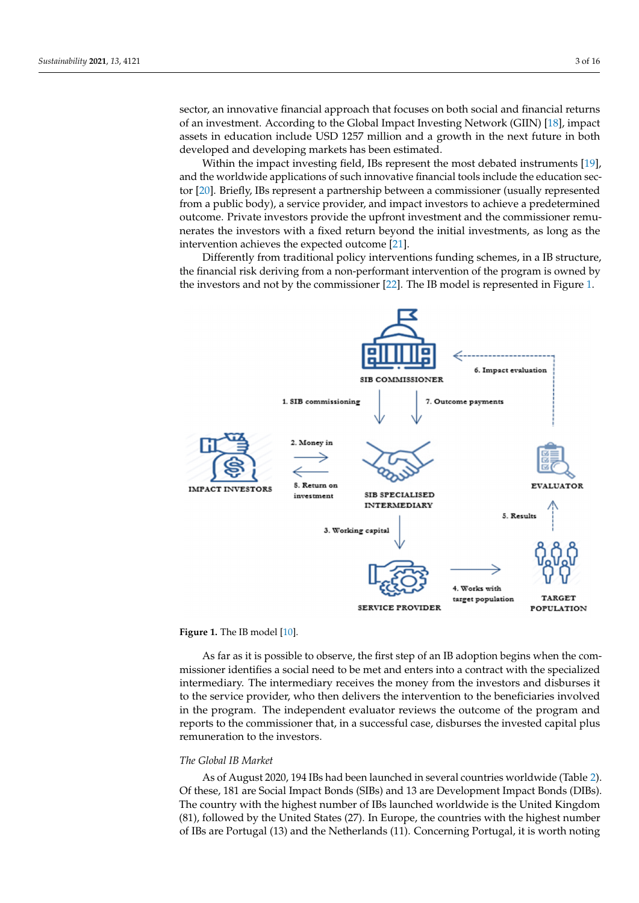sector, an innovative financial approach that focuses on both social and financial returns of an investment. According to the Global Impact Investing Network (GIIN) [18], impact assets in education include USD 1257 million and a growth in the next future in both developed and developing markets has been estimated.

In the recent past, the involvement of private capital in the education sector increased

Within the impact investing field, IBs represent the most debated instruments [19], and the worldwide applications of such innovative financial tools include the education sector [20]. Briefly, IBs represent a partnership between a commissioner (usually represe[nted](#page-13-14) from a public body), a service provider, and impact investors to achieve a predetermined outcome. Private investors provide the upfront investment and the commissioner remunerates the investors with a fixed return beyond the initial investments, as long as the intervention achieves the expected outcome [\[21\]](#page-13-15).  $\blacksquare$ 

Differently from traditional policy interventions funding schemes, in a IB structure, the financial risk deriving from a non-performant intervention of the program is owned by the investors and not by the commissioner [\[22\]](#page-13-16). The IB model is represented in Figure [1.](#page-2-0) 1.

<span id="page-2-0"></span>



As far as it is possible to observe, the first step of an IB adoption begins when the commissioner identifies a social need to be met and enters into a contract with the specialized intermediary. The intermediary receives the money from the investors and disburses it to the service provider, who then delivers the intervention to the beneficiaries involved in the program. The independent evaluator reviews the outcome of the program and reports to the commissioner that, in a successful case, disburses the invested capital plus remuneration to the investors.

### *The Global IB Market*

As of August 2020, 194 IBs had been launched in several countries worldwide (Table [2\)](#page-3-0). Of these, 181 are Social Impact Bonds (SIBs) and 13 are Development Impact Bonds (DIBs). The country with the highest number of IBs launched worldwide is the United Kingdom (81), followed by the United States (27). In Europe, the countries with the highest number of IBs are Portugal (13) and the Netherlands (11). Concerning Portugal, it is worth noting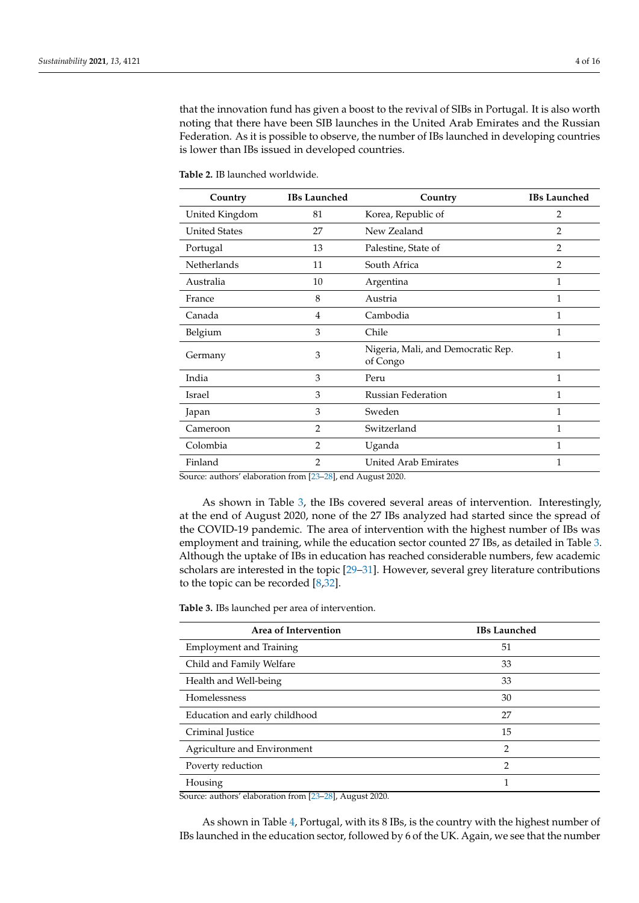that the innovation fund has given a boost to the revival of SIBs in Portugal. It is also worth noting that there have been SIB launches in the United Arab Emirates and the Russian Federation. As it is possible to observe, the number of IBs launched in developing countries is lower than IBs issued in developed countries.

| Country              | <b>IBs Launched</b> | Country                                        | <b>IBs Launched</b> |
|----------------------|---------------------|------------------------------------------------|---------------------|
| United Kingdom       | 81                  | Korea, Republic of                             | 2                   |
| <b>United States</b> | 27                  | New Zealand                                    | $\overline{2}$      |
| Portugal             | 13                  | Palestine, State of                            | $\overline{2}$      |
| Netherlands          | 11                  | South Africa                                   | $\overline{2}$      |
| Australia            | 10                  | Argentina                                      | 1                   |
| France               | 8                   | Austria                                        | 1                   |
| Canada               | 4                   | Cambodia                                       | 1                   |
| Belgium              | 3                   | Chile                                          | 1                   |
| Germany              | 3                   | Nigeria, Mali, and Democratic Rep.<br>of Congo | 1                   |
| India                | 3                   | Peru                                           | 1                   |
| Israel               | 3                   | <b>Russian Federation</b>                      | 1                   |
| Japan                | 3                   | Sweden                                         | 1                   |
| Cameroon             | $\overline{2}$      | Switzerland                                    | 1                   |
| Colombia             | $\overline{2}$      | Uganda                                         | 1                   |
| Finland              | $\overline{2}$      | <b>United Arab Emirates</b>                    | 1                   |

<span id="page-3-0"></span>**Table 2.** IB launched worldwide.

Source: authors' elaboration from [\[23](#page-13-17)[–28\]](#page-13-18), end August 2020.

As shown in Table [3,](#page-3-1) the IBs covered several areas of intervention. Interestingly, at the end of August 2020, none of the 27 IBs analyzed had started since the spread of the COVID-19 pandemic. The area of intervention with the highest number of IBs was employment and training, while the education sector counted 27 IBs, as detailed in Table [3.](#page-3-1) Although the uptake of IBs in education has reached considerable numbers, few academic scholars are interested in the topic [\[29–](#page-13-19)[31\]](#page-13-20). However, several grey literature contributions to the topic can be recorded [\[8,](#page-13-2)[32\]](#page-13-21).

<span id="page-3-1"></span>**Table 3.** IBs launched per area of intervention.

| Area of Intervention           | <b>IBs Launched</b> |
|--------------------------------|---------------------|
| <b>Employment and Training</b> | 51                  |
| Child and Family Welfare       | 33                  |
| Health and Well-being          | 33                  |
| Homelessness                   | 30                  |
| Education and early childhood  | 27                  |
| Criminal Justice               | 15                  |
| Agriculture and Environment    | 2                   |
| Poverty reduction              | 2                   |
| Housing                        | 1                   |

Source: authors' elaboration from [\[23](#page-13-17)[–28\]](#page-13-18), August 2020.

As shown in Table [4,](#page-4-1) Portugal, with its 8 IBs, is the country with the highest number of IBs launched in the education sector, followed by 6 of the UK. Again, we see that the number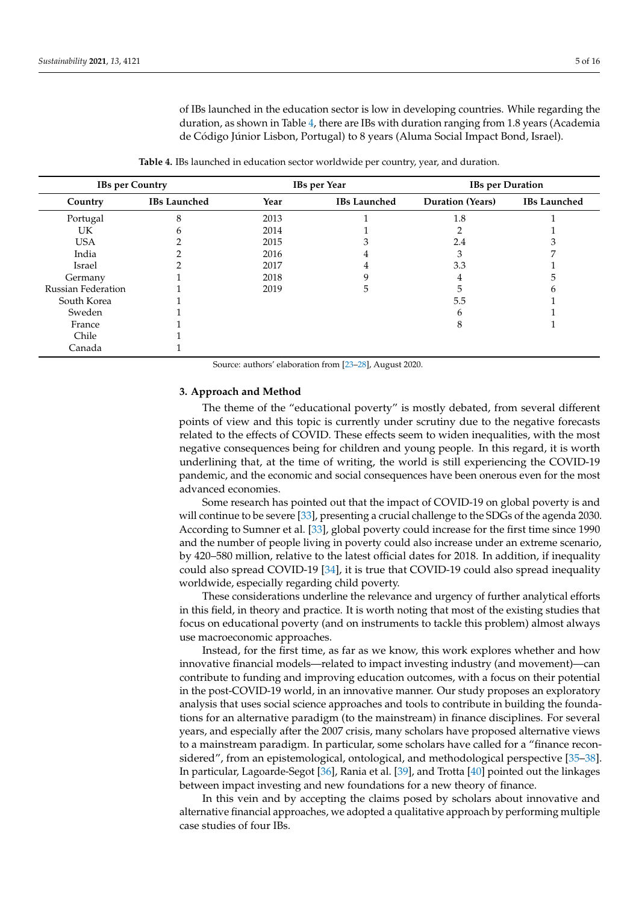of IBs launched in the education sector is low in developing countries. While regarding the duration, as shown in Table [4,](#page-4-1) there are IBs with duration ranging from 1.8 years (Academia de Código Júnior Lisbon, Portugal) to 8 years (Aluma Social Impact Bond, Israel).

**Table 4.** IBs launched in education sector worldwide per country, year, and duration.

<span id="page-4-1"></span>

| <b>IBs per Country</b>    |                     |      | <b>IBs</b> per Year | <b>IBs</b> per Duration |                     |
|---------------------------|---------------------|------|---------------------|-------------------------|---------------------|
| Country                   | <b>IBs Launched</b> | Year | <b>IBs Launched</b> | <b>Duration</b> (Years) | <b>IBs Launched</b> |
| Portugal                  | 8                   | 2013 |                     | 1.8                     |                     |
| UK                        |                     | 2014 |                     |                         |                     |
| <b>USA</b>                |                     | 2015 |                     | 2.4                     |                     |
| India                     |                     | 2016 |                     |                         |                     |
| Israel                    |                     | 2017 |                     | 3.3                     |                     |
| Germany                   |                     | 2018 |                     | 4                       |                     |
| <b>Russian Federation</b> |                     | 2019 |                     |                         |                     |
| South Korea               |                     |      |                     | 5.5                     |                     |
| Sweden                    |                     |      |                     |                         |                     |
| France                    |                     |      |                     |                         |                     |
| Chile                     |                     |      |                     |                         |                     |
| Canada                    |                     |      |                     |                         |                     |

Source: authors' elaboration from [\[23](#page-13-17)[–28\]](#page-13-18), August 2020.

# <span id="page-4-0"></span>**3. Approach and Method**

The theme of the "educational poverty" is mostly debated, from several different points of view and this topic is currently under scrutiny due to the negative forecasts related to the effects of COVID. These effects seem to widen inequalities, with the most negative consequences being for children and young people. In this regard, it is worth underlining that, at the time of writing, the world is still experiencing the COVID-19 pandemic, and the economic and social consequences have been onerous even for the most advanced economies.

Some research has pointed out that the impact of COVID-19 on global poverty is and will continue to be severe [\[33\]](#page-13-22), presenting a crucial challenge to the SDGs of the agenda 2030. According to Sumner et al. [\[33\]](#page-13-22), global poverty could increase for the first time since 1990 and the number of people living in poverty could also increase under an extreme scenario, by 420–580 million, relative to the latest official dates for 2018. In addition, if inequality could also spread COVID-19 [\[34\]](#page-13-23), it is true that COVID-19 could also spread inequality worldwide, especially regarding child poverty.

These considerations underline the relevance and urgency of further analytical efforts in this field, in theory and practice. It is worth noting that most of the existing studies that focus on educational poverty (and on instruments to tackle this problem) almost always use macroeconomic approaches.

Instead, for the first time, as far as we know, this work explores whether and how innovative financial models—related to impact investing industry (and movement)—can contribute to funding and improving education outcomes, with a focus on their potential in the post-COVID-19 world, in an innovative manner. Our study proposes an exploratory analysis that uses social science approaches and tools to contribute in building the foundations for an alternative paradigm (to the mainstream) in finance disciplines. For several years, and especially after the 2007 crisis, many scholars have proposed alternative views to a mainstream paradigm. In particular, some scholars have called for a "finance reconsidered", from an epistemological, ontological, and methodological perspective [\[35](#page-14-0)[–38\]](#page-14-1). In particular, Lagoarde-Segot [\[36\]](#page-14-2), Rania et al. [\[39\]](#page-14-3), and Trotta [\[40\]](#page-14-4) pointed out the linkages between impact investing and new foundations for a new theory of finance.

In this vein and by accepting the claims posed by scholars about innovative and alternative financial approaches, we adopted a qualitative approach by performing multiple case studies of four IBs.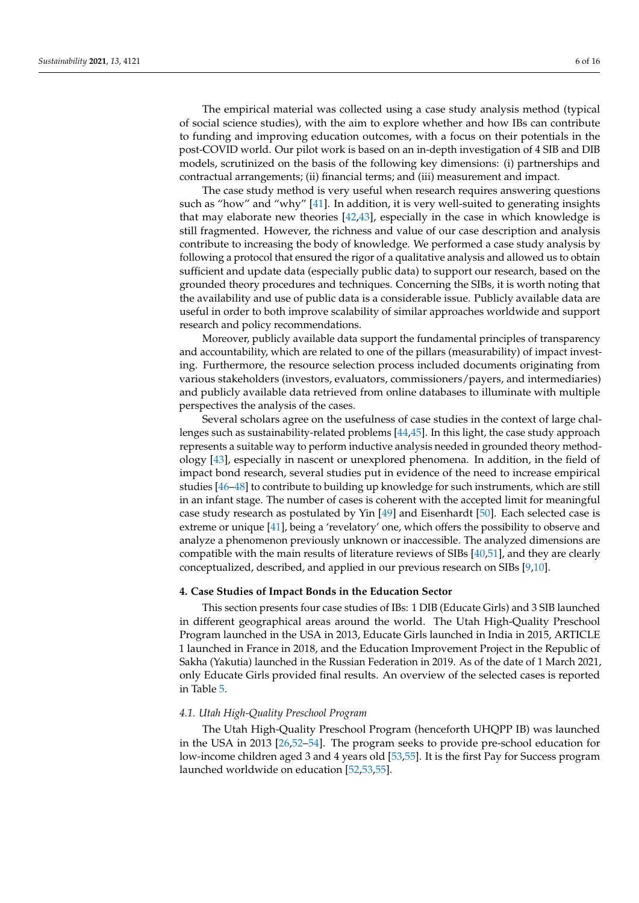The empirical material was collected using a case study analysis method (typical of social science studies), with the aim to explore whether and how IBs can contribute to funding and improving education outcomes, with a focus on their potentials in the post-COVID world. Our pilot work is based on an in-depth investigation of 4 SIB and DIB models, scrutinized on the basis of the following key dimensions: (i) partnerships and contractual arrangements; (ii) financial terms; and (iii) measurement and impact.

The case study method is very useful when research requires answering questions such as "how" and "why" [\[41\]](#page-14-5). In addition, it is very well-suited to generating insights that may elaborate new theories  $[42,43]$  $[42,43]$ , especially in the case in which knowledge is still fragmented. However, the richness and value of our case description and analysis contribute to increasing the body of knowledge. We performed a case study analysis by following a protocol that ensured the rigor of a qualitative analysis and allowed us to obtain sufficient and update data (especially public data) to support our research, based on the grounded theory procedures and techniques. Concerning the SIBs, it is worth noting that the availability and use of public data is a considerable issue. Publicly available data are useful in order to both improve scalability of similar approaches worldwide and support research and policy recommendations.

Moreover, publicly available data support the fundamental principles of transparency and accountability, which are related to one of the pillars (measurability) of impact investing. Furthermore, the resource selection process included documents originating from various stakeholders (investors, evaluators, commissioners/payers, and intermediaries) and publicly available data retrieved from online databases to illuminate with multiple perspectives the analysis of the cases.

Several scholars agree on the usefulness of case studies in the context of large challenges such as sustainability-related problems [\[44](#page-14-8)[,45\]](#page-14-9). In this light, the case study approach represents a suitable way to perform inductive analysis needed in grounded theory methodology [\[43\]](#page-14-7), especially in nascent or unexplored phenomena. In addition, in the field of impact bond research, several studies put in evidence of the need to increase empirical studies [\[46–](#page-14-10)[48\]](#page-14-11) to contribute to building up knowledge for such instruments, which are still in an infant stage. The number of cases is coherent with the accepted limit for meaningful case study research as postulated by Yin [\[49\]](#page-14-12) and Eisenhardt [\[50\]](#page-14-13). Each selected case is extreme or unique [\[41\]](#page-14-5), being a 'revelatory' one, which offers the possibility to observe and analyze a phenomenon previously unknown or inaccessible. The analyzed dimensions are compatible with the main results of literature reviews of SIBs [\[40,](#page-14-4)[51\]](#page-14-14), and they are clearly conceptualized, described, and applied in our previous research on SIBs [\[9](#page-13-3)[,10\]](#page-13-4).

### <span id="page-5-0"></span>**4. Case Studies of Impact Bonds in the Education Sector**

This section presents four case studies of IBs: 1 DIB (Educate Girls) and 3 SIB launched in different geographical areas around the world. The Utah High-Quality Preschool Program launched in the USA in 2013, Educate Girls launched in India in 2015, ARTICLE 1 launched in France in 2018, and the Education Improvement Project in the Republic of Sakha (Yakutia) launched in the Russian Federation in 2019. As of the date of 1 March 2021, only Educate Girls provided final results. An overview of the selected cases is reported in Table [5.](#page-6-0)

### *4.1. Utah High-Quality Preschool Program*

The Utah High-Quality Preschool Program (henceforth UHQPP IB) was launched in the USA in 2013 [\[26](#page-13-24)[,52](#page-14-15)[–54\]](#page-14-16). The program seeks to provide pre-school education for low-income children aged 3 and 4 years old [\[53](#page-14-17)[,55\]](#page-14-18). It is the first Pay for Success program launched worldwide on education [\[52](#page-14-15)[,53](#page-14-17)[,55\]](#page-14-18).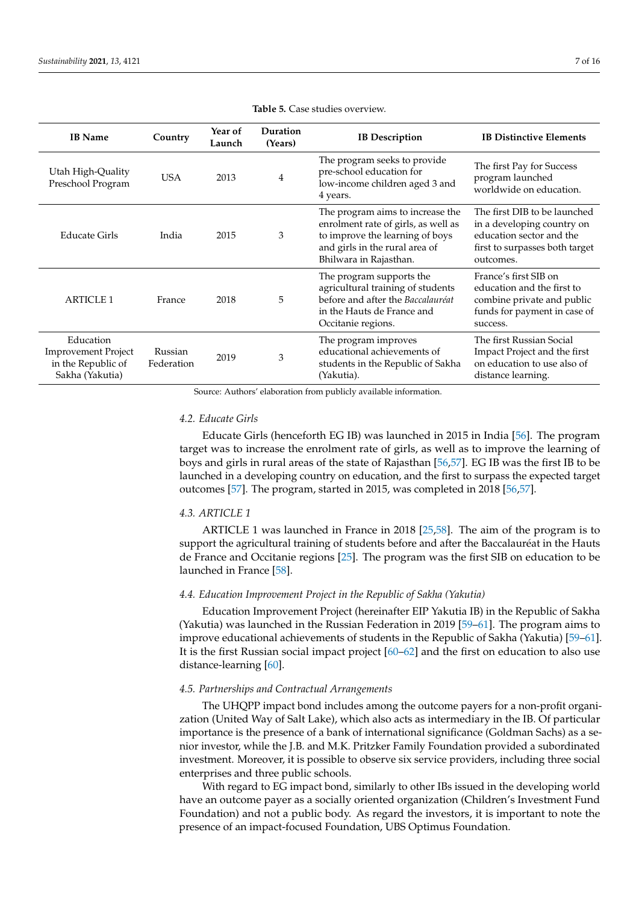<span id="page-6-0"></span>

| <b>IB</b> Name                                                                   | Country               | Duration<br>Year of<br>Launch<br>(Years) |                | <b>IB</b> Description                                                                                                                                                  | <b>IB Distinctive Elements</b>                                                                                                        |  |
|----------------------------------------------------------------------------------|-----------------------|------------------------------------------|----------------|------------------------------------------------------------------------------------------------------------------------------------------------------------------------|---------------------------------------------------------------------------------------------------------------------------------------|--|
| Utah High-Quality<br>Preschool Program                                           | <b>USA</b>            | 2013                                     | $\overline{4}$ | The program seeks to provide<br>pre-school education for<br>low-income children aged 3 and<br>4 years.                                                                 | The first Pay for Success<br>program launched<br>worldwide on education.                                                              |  |
| Educate Girls                                                                    | India                 | 2015                                     | 3              | The program aims to increase the<br>enrolment rate of girls, as well as<br>to improve the learning of boys<br>and girls in the rural area of<br>Bhilwara in Rajasthan. | The first DIB to be launched<br>in a developing country on<br>education sector and the<br>first to surpasses both target<br>outcomes. |  |
| <b>ARTICLE 1</b>                                                                 | France                | 2018                                     | 5              | The program supports the<br>agricultural training of students<br>before and after the Baccalauréat<br>in the Hauts de France and<br>Occitanie regions.                 | France's first SIB on<br>education and the first to<br>combine private and public<br>funds for payment in case of<br>success.         |  |
| Education<br><b>Improvement Project</b><br>in the Republic of<br>Sakha (Yakutia) | Russian<br>Federation | 2019                                     | 3              | The program improves<br>educational achievements of<br>students in the Republic of Sakha<br>(Yakutia).                                                                 | The first Russian Social<br>Impact Project and the first<br>on education to use also of<br>distance learning.                         |  |

#### **Table 5.** Case studies overview.

Source: Authors' elaboration from publicly available information.

# *4.2. Educate Girls*

Educate Girls (henceforth EG IB) was launched in 2015 in India [\[56\]](#page-14-19). The program target was to increase the enrolment rate of girls, as well as to improve the learning of boys and girls in rural areas of the state of Rajasthan [\[56,](#page-14-19)[57\]](#page-14-20). EG IB was the first IB to be launched in a developing country on education, and the first to surpass the expected target outcomes [\[57\]](#page-14-20). The program, started in 2015, was completed in 2018 [\[56,](#page-14-19)[57\]](#page-14-20).

## *4.3. ARTICLE 1*

ARTICLE 1 was launched in France in 2018 [\[25](#page-13-25)[,58\]](#page-14-21). The aim of the program is to support the agricultural training of students before and after the Baccalauréat in the Hauts de France and Occitanie regions [\[25\]](#page-13-25). The program was the first SIB on education to be launched in France [\[58\]](#page-14-21).

# *4.4. Education Improvement Project in the Republic of Sakha (Yakutia)*

Education Improvement Project (hereinafter EIP Yakutia IB) in the Republic of Sakha (Yakutia) was launched in the Russian Federation in 2019 [\[59–](#page-14-22)[61\]](#page-14-23). The program aims to improve educational achievements of students in the Republic of Sakha (Yakutia) [\[59](#page-14-22)[–61\]](#page-14-23). It is the first Russian social impact project [\[60](#page-14-24)[–62\]](#page-15-0) and the first on education to also use distance-learning [\[60\]](#page-14-24).

# *4.5. Partnerships and Contractual Arrangements*

The UHQPP impact bond includes among the outcome payers for a non-profit organization (United Way of Salt Lake), which also acts as intermediary in the IB. Of particular importance is the presence of a bank of international significance (Goldman Sachs) as a senior investor, while the J.B. and M.K. Pritzker Family Foundation provided a subordinated investment. Moreover, it is possible to observe six service providers, including three social enterprises and three public schools.

With regard to EG impact bond, similarly to other IBs issued in the developing world have an outcome payer as a socially oriented organization (Children's Investment Fund Foundation) and not a public body. As regard the investors, it is important to note the presence of an impact-focused Foundation, UBS Optimus Foundation.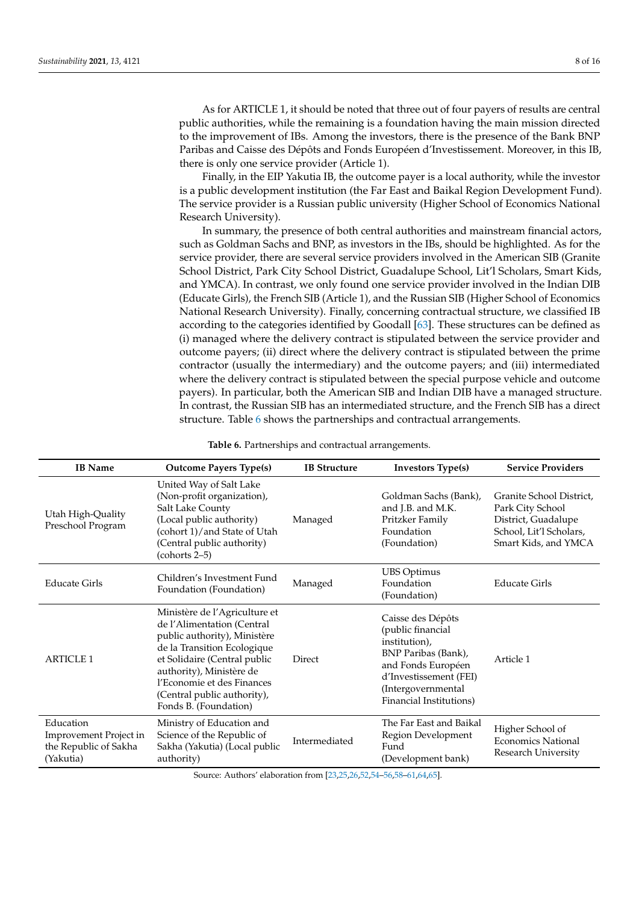As for ARTICLE 1, it should be noted that three out of four payers of results are central public authorities, while the remaining is a foundation having the main mission directed to the improvement of IBs. Among the investors, there is the presence of the Bank BNP Paribas and Caisse des Dépôts and Fonds Européen d'Investissement. Moreover, in this IB, there is only one service provider (Article 1).

Finally, in the EIP Yakutia IB, the outcome payer is a local authority, while the investor is a public development institution (the Far East and Baikal Region Development Fund). The service provider is a Russian public university (Higher School of Economics National Research University).

In summary, the presence of both central authorities and mainstream financial actors, such as Goldman Sachs and BNP, as investors in the IBs, should be highlighted. As for the service provider, there are several service providers involved in the American SIB (Granite School District, Park City School District, Guadalupe School, Lit'l Scholars, Smart Kids, and YMCA). In contrast, we only found one service provider involved in the Indian DIB (Educate Girls), the French SIB (Article 1), and the Russian SIB (Higher School of Economics National Research University). Finally, concerning contractual structure, we classified IB according to the categories identified by Goodall [\[63\]](#page-15-1). These structures can be defined as (i) managed where the delivery contract is stipulated between the service provider and outcome payers; (ii) direct where the delivery contract is stipulated between the prime contractor (usually the intermediary) and the outcome payers; and (iii) intermediated where the delivery contract is stipulated between the special purpose vehicle and outcome payers). In particular, both the American SIB and Indian DIB have a managed structure. In contrast, the Russian SIB has an intermediated structure, and the French SIB has a direct structure. Table [6](#page-7-0) shows the partnerships and contractual arrangements.

<span id="page-7-0"></span>

| <b>IB</b> Name                                                            | <b>Outcome Payers Type(s)</b>                                                                                                                                                                                                                                                | <b>IB Structure</b> | <b>Investors Type(s)</b>                                                                                                                                                        | <b>Service Providers</b>                                                                                               |
|---------------------------------------------------------------------------|------------------------------------------------------------------------------------------------------------------------------------------------------------------------------------------------------------------------------------------------------------------------------|---------------------|---------------------------------------------------------------------------------------------------------------------------------------------------------------------------------|------------------------------------------------------------------------------------------------------------------------|
| Utah High-Quality<br>Preschool Program                                    | United Way of Salt Lake<br>(Non-profit organization),<br>Salt Lake County<br>(Local public authority)<br>(cohort 1)/and State of Utah<br>(Central public authority)<br>$(cohorts 2-5)$                                                                                       | Managed             | Goldman Sachs (Bank),<br>and J.B. and M.K.<br>Pritzker Family<br>Foundation<br>(Foundation)                                                                                     | Granite School District,<br>Park City School<br>District, Guadalupe<br>School, Lit'l Scholars,<br>Smart Kids, and YMCA |
| <b>Educate Girls</b>                                                      | Children's Investment Fund<br>Foundation (Foundation)                                                                                                                                                                                                                        | Managed             | <b>UBS</b> Optimus<br>Foundation<br>(Foundation)                                                                                                                                | <b>Educate Girls</b>                                                                                                   |
| <b>ARTICLE 1</b>                                                          | Ministère de l'Agriculture et<br>de l'Alimentation (Central<br>public authority), Ministère<br>de la Transition Ecologique<br>et Solidaire (Central public<br>authority), Ministère de<br>l'Economie et des Finances<br>(Central public authority),<br>Fonds B. (Foundation) | Direct              | Caisse des Dépôts<br>(public financial<br>institution),<br>BNP Paribas (Bank),<br>and Fonds Européen<br>d'Investissement (FEI)<br>(Intergovernmental<br>Financial Institutions) | Article 1                                                                                                              |
| Education<br>Improvement Project in<br>the Republic of Sakha<br>(Yakutia) | Ministry of Education and<br>Science of the Republic of<br>Sakha (Yakutia) (Local public<br>authority)                                                                                                                                                                       | Intermediated       | The Far East and Baikal<br>Region Development<br>Fund<br>(Development bank)                                                                                                     | Higher School of<br><b>Economics National</b><br>Research University                                                   |

**Table 6.** Partnerships and contractual arrangements.

Source: Authors' elaboration from [\[23,](#page-13-17)[25,](#page-13-25)[26,](#page-13-24)[52,](#page-14-15)[54–](#page-14-16)[56,](#page-14-19)[58–](#page-14-21)[61,](#page-14-23)[64](#page-15-2)[,65\]](#page-15-3).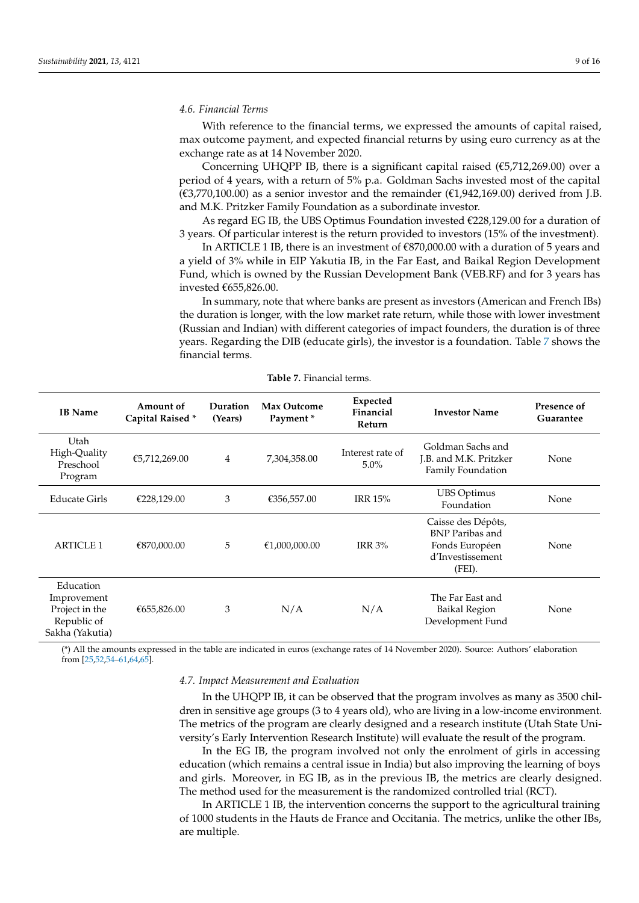### *4.6. Financial Terms*

With reference to the financial terms, we expressed the amounts of capital raised, max outcome payment, and expected financial returns by using euro currency as at the exchange rate as at 14 November 2020.

Concerning UHQPP IB, there is a significant capital raised ( $\epsilon$ 5,712,269.00) over a period of 4 years, with a return of 5% p.a. Goldman Sachs invested most of the capital  $(\text{\textsterling}3,770,100.00)$  as a senior investor and the remainder  $(\text{\textsterling}1,942,169.00)$  derived from J.B. and M.K. Pritzker Family Foundation as a subordinate investor.

As regard EG IB, the UBS Optimus Foundation invested  $\epsilon$ 228,129.00 for a duration of 3 years. Of particular interest is the return provided to investors (15% of the investment).

In ARTICLE 1 IB, there is an investment of  $\varepsilon$ 870,000.00 with a duration of 5 years and a yield of 3% while in EIP Yakutia IB, in the Far East, and Baikal Region Development Fund, which is owned by the Russian Development Bank (VEB.RF) and for 3 years has invested €655,826.00.

In summary, note that where banks are present as investors (American and French IBs) the duration is longer, with the low market rate return, while those with lower investment (Russian and Indian) with different categories of impact founders, the duration is of three years. Regarding the DIB (educate girls), the investor is a foundation. Table [7](#page-8-0) shows the financial terms.

<span id="page-8-0"></span>

| <b>IB</b> Name                                                               | Amount of<br>Capital Raised* | Duration<br>(Years) | <b>Max Outcome</b><br>Payment* | Expected<br>Financial<br>Return | <b>Investor Name</b>                                                                         | Presence of<br>Guarantee |
|------------------------------------------------------------------------------|------------------------------|---------------------|--------------------------------|---------------------------------|----------------------------------------------------------------------------------------------|--------------------------|
| Utah<br>High-Quality<br>Preschool<br>Program                                 | €5,712,269.00                | 4                   | 7,304,358.00                   | Interest rate of<br>$5.0\%$     | Goldman Sachs and<br>J.B. and M.K. Pritzker<br>Family Foundation                             | None                     |
| <b>Educate Girls</b>                                                         | €228,129.00                  | 3                   | €356,557.00                    | <b>IRR 15%</b>                  | <b>UBS Optimus</b><br>Foundation                                                             | None                     |
| <b>ARTICLE 1</b>                                                             | €870,000.00                  | 5                   | €1,000,000.00                  | <b>IRR 3%</b>                   | Caisse des Dépôts,<br><b>BNP</b> Paribas and<br>Fonds Européen<br>d'Investissement<br>(FEI). | None                     |
| Education<br>Improvement<br>Project in the<br>Republic of<br>Sakha (Yakutia) | €655,826.00                  | 3                   | N/A                            | N/A                             | The Far East and<br><b>Baikal Region</b><br>Development Fund                                 | None                     |

**Table 7.** Financial terms.

(\*) All the amounts expressed in the table are indicated in euros (exchange rates of 14 November 2020). Source: Authors' elaboration from [\[25,](#page-13-25)[52,](#page-14-15)[54–](#page-14-16)[61,](#page-14-23)[64,](#page-15-2)[65\]](#page-15-3).

## *4.7. Impact Measurement and Evaluation*

In the UHQPP IB, it can be observed that the program involves as many as 3500 children in sensitive age groups (3 to 4 years old), who are living in a low-income environment. The metrics of the program are clearly designed and a research institute (Utah State University's Early Intervention Research Institute) will evaluate the result of the program.

In the EG IB, the program involved not only the enrolment of girls in accessing education (which remains a central issue in India) but also improving the learning of boys and girls. Moreover, in EG IB, as in the previous IB, the metrics are clearly designed. The method used for the measurement is the randomized controlled trial (RCT).

In ARTICLE 1 IB, the intervention concerns the support to the agricultural training of 1000 students in the Hauts de France and Occitania. The metrics, unlike the other IBs, are multiple.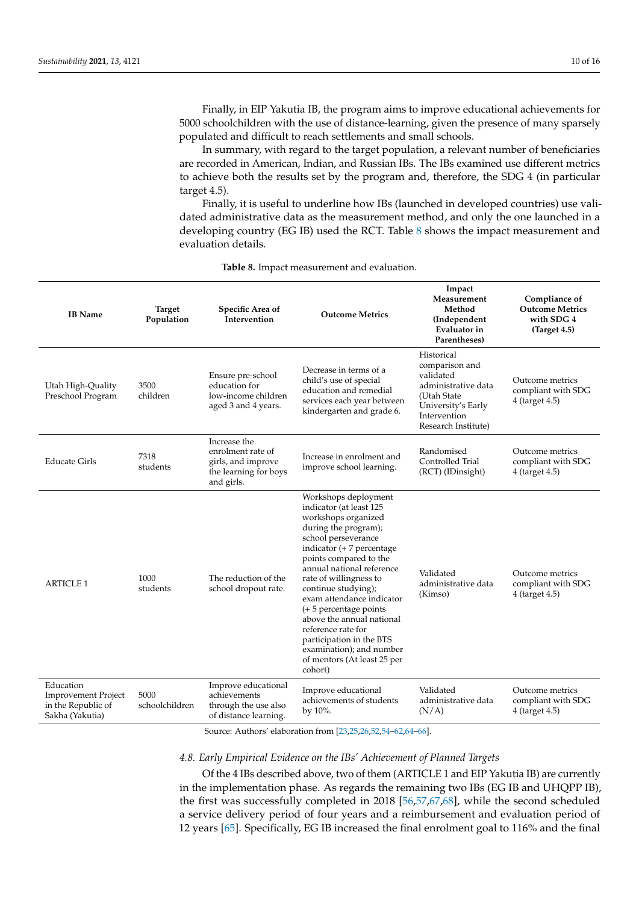Finally, in EIP Yakutia IB, the program aims to improve educational achievements for 5000 schoolchildren with the use of distance-learning, given the presence of many sparsely populated and difficult to reach settlements and small schools.

In summary, with regard to the target population, a relevant number of beneficiaries are recorded in American, Indian, and Russian IBs. The IBs examined use different metrics to achieve both the results set by the program and, therefore, the SDG 4 (in particular target 4.5).

Finally, it is useful to underline how IBs (launched in developed countries) use validated administrative data as the measurement method, and only the one launched in a developing country (EG IB) used the RCT. Table [8](#page-9-0) shows the impact measurement and evaluation details.

<span id="page-9-0"></span>

| <b>IB</b> Name                                                                   | <b>Target</b><br>Population | Specific Area of<br>Intervention                                                               | <b>Outcome Metrics</b>                                                                                                                                                                                                                                                                                                                                                                                                                                                   | Impact<br>Measurement<br>Method<br>(Independent<br>Evaluator in<br>Parentheses)                                                              | Compliance of<br><b>Outcome Metrics</b><br>with SDG 4<br>(Target 4.5) |
|----------------------------------------------------------------------------------|-----------------------------|------------------------------------------------------------------------------------------------|--------------------------------------------------------------------------------------------------------------------------------------------------------------------------------------------------------------------------------------------------------------------------------------------------------------------------------------------------------------------------------------------------------------------------------------------------------------------------|----------------------------------------------------------------------------------------------------------------------------------------------|-----------------------------------------------------------------------|
| Utah High-Quality<br>Preschool Program                                           | 3500<br>children            | Ensure pre-school<br>education for<br>low-income children<br>aged 3 and 4 years.               | Decrease in terms of a<br>child's use of special<br>education and remedial<br>services each year between<br>kindergarten and grade 6.                                                                                                                                                                                                                                                                                                                                    | Historical<br>comparison and<br>validated<br>administrative data<br>(Utah State<br>University's Early<br>Intervention<br>Research Institute) | Outcome metrics<br>compliant with SDG<br>4 (target 4.5)               |
| <b>Educate Girls</b>                                                             | 7318<br>students            | Increase the<br>enrolment rate of<br>girls, and improve<br>the learning for boys<br>and girls. | Increase in enrolment and<br>improve school learning.                                                                                                                                                                                                                                                                                                                                                                                                                    | Randomised<br>Controlled Trial<br>(RCT) (IDinsight)                                                                                          | Outcome metrics<br>compliant with SDG<br>4 (target 4.5)               |
| <b>ARTICLE 1</b>                                                                 | 1000<br>students            | The reduction of the<br>school dropout rate.                                                   | Workshops deployment<br>indicator (at least 125<br>workshops organized<br>during the program);<br>school perseverance<br>indicator (+ 7 percentage<br>points compared to the<br>annual national reference<br>rate of willingness to<br>continue studying);<br>exam attendance indicator<br>$(+ 5$ percentage points<br>above the annual national<br>reference rate for<br>participation in the BTS<br>examination); and number<br>of mentors (At least 25 per<br>cohort) | Validated<br>administrative data<br>(Kimso)                                                                                                  | Outcome metrics<br>compliant with SDG<br>4 (target 4.5)               |
| Education<br><b>Improvement Project</b><br>in the Republic of<br>Sakha (Yakutia) | 5000<br>schoolchildren      | Improve educational<br>achievements<br>through the use also<br>of distance learning.           | Improve educational<br>achievements of students<br>by 10%.                                                                                                                                                                                                                                                                                                                                                                                                               | Validated<br>administrative data<br>(N/A)                                                                                                    | Outcome metrics<br>compliant with SDG<br>4 (target 4.5)               |

**Table 8.** Impact measurement and evaluation.

Source: Authors' elaboration from [\[23,](#page-13-17)[25,](#page-13-25)[26,](#page-13-24)[52,](#page-14-15)[54–](#page-14-16)[62,](#page-15-0)[64–](#page-15-2)[66\]](#page-15-4).

# *4.8. Early Empirical Evidence on the IBs' Achievement of Planned Targets*

Of the 4 IBs described above, two of them (ARTICLE 1 and EIP Yakutia IB) are currently in the implementation phase. As regards the remaining two IBs (EG IB and UHQPP IB), the first was successfully completed in 2018 [\[56,](#page-14-19)[57,](#page-14-20)[67,](#page-15-5)[68\]](#page-15-6), while the second scheduled a service delivery period of four years and a reimbursement and evaluation period of 12 years [\[65\]](#page-15-3). Specifically, EG IB increased the final enrolment goal to 116% and the final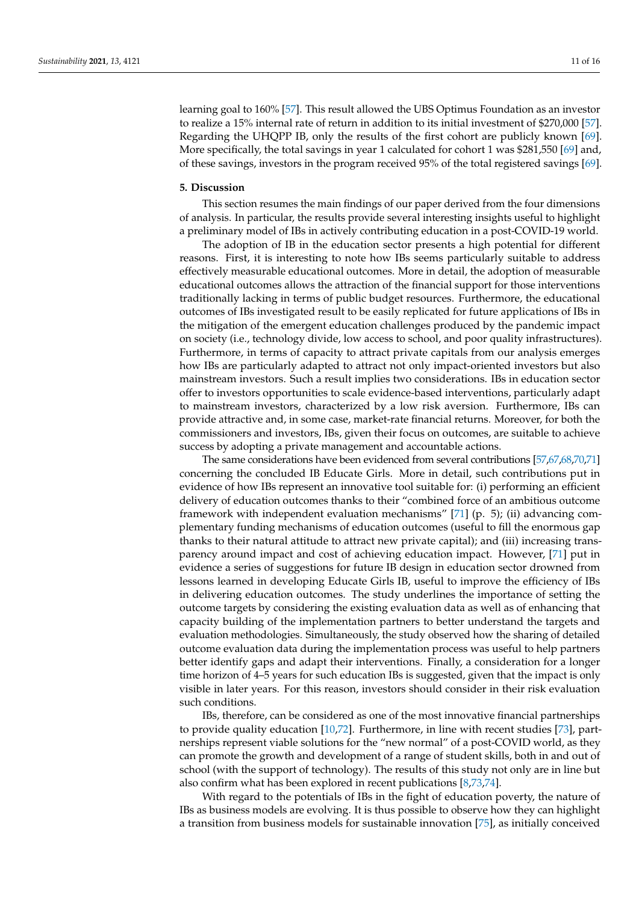learning goal to 160% [\[57\]](#page-14-20). This result allowed the UBS Optimus Foundation as an investor to realize a 15% internal rate of return in addition to its initial investment of \$270,000 [\[57\]](#page-14-20). Regarding the UHQPP IB, only the results of the first cohort are publicly known [\[69\]](#page-15-7). More specifically, the total savings in year 1 calculated for cohort 1 was \$281,550 [\[69\]](#page-15-7) and, of these savings, investors in the program received 95% of the total registered savings [\[69\]](#page-15-7).

### <span id="page-10-0"></span>**5. Discussion**

This section resumes the main findings of our paper derived from the four dimensions of analysis. In particular, the results provide several interesting insights useful to highlight a preliminary model of IBs in actively contributing education in a post-COVID-19 world.

The adoption of IB in the education sector presents a high potential for different reasons. First, it is interesting to note how IBs seems particularly suitable to address effectively measurable educational outcomes. More in detail, the adoption of measurable educational outcomes allows the attraction of the financial support for those interventions traditionally lacking in terms of public budget resources. Furthermore, the educational outcomes of IBs investigated result to be easily replicated for future applications of IBs in the mitigation of the emergent education challenges produced by the pandemic impact on society (i.e., technology divide, low access to school, and poor quality infrastructures). Furthermore, in terms of capacity to attract private capitals from our analysis emerges how IBs are particularly adapted to attract not only impact-oriented investors but also mainstream investors. Such a result implies two considerations. IBs in education sector offer to investors opportunities to scale evidence-based interventions, particularly adapt to mainstream investors, characterized by a low risk aversion. Furthermore, IBs can provide attractive and, in some case, market-rate financial returns. Moreover, for both the commissioners and investors, IBs, given their focus on outcomes, are suitable to achieve success by adopting a private management and accountable actions.

The same considerations have been evidenced from several contributions [\[57,](#page-14-20)[67](#page-15-5)[,68,](#page-15-6)[70,](#page-15-8)[71\]](#page-15-9) concerning the concluded IB Educate Girls. More in detail, such contributions put in evidence of how IBs represent an innovative tool suitable for: (i) performing an efficient delivery of education outcomes thanks to their "combined force of an ambitious outcome framework with independent evaluation mechanisms" [\[71\]](#page-15-9) (p. 5); (ii) advancing complementary funding mechanisms of education outcomes (useful to fill the enormous gap thanks to their natural attitude to attract new private capital); and (iii) increasing transparency around impact and cost of achieving education impact. However, [\[71\]](#page-15-9) put in evidence a series of suggestions for future IB design in education sector drowned from lessons learned in developing Educate Girls IB, useful to improve the efficiency of IBs in delivering education outcomes. The study underlines the importance of setting the outcome targets by considering the existing evaluation data as well as of enhancing that capacity building of the implementation partners to better understand the targets and evaluation methodologies. Simultaneously, the study observed how the sharing of detailed outcome evaluation data during the implementation process was useful to help partners better identify gaps and adapt their interventions. Finally, a consideration for a longer time horizon of 4–5 years for such education IBs is suggested, given that the impact is only visible in later years. For this reason, investors should consider in their risk evaluation such conditions.

IBs, therefore, can be considered as one of the most innovative financial partnerships to provide quality education [\[10,](#page-13-4)[72\]](#page-15-10). Furthermore, in line with recent studies [\[73\]](#page-15-11), partnerships represent viable solutions for the "new normal" of a post-COVID world, as they can promote the growth and development of a range of student skills, both in and out of school (with the support of technology). The results of this study not only are in line but also confirm what has been explored in recent publications [\[8](#page-13-2)[,73,](#page-15-11)[74\]](#page-15-12).

With regard to the potentials of IBs in the fight of education poverty, the nature of IBs as business models are evolving. It is thus possible to observe how they can highlight a transition from business models for sustainable innovation [\[75\]](#page-15-13), as initially conceived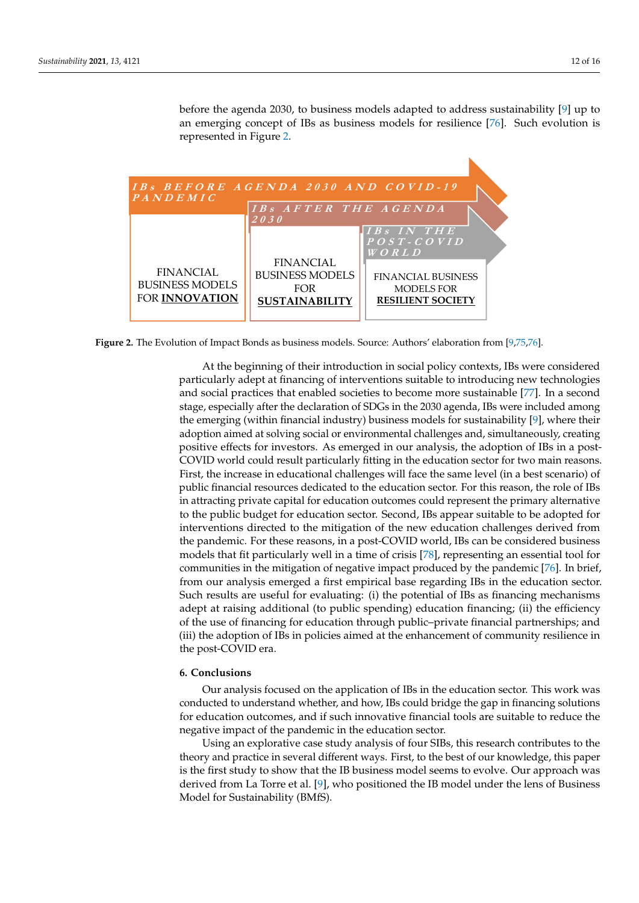before the agenda 2030, to business models adapted to address sustainability [\[9\]](#page-13-3) up to an emerging concept of IBs as business models for resilience [76]. [Suc](#page-15-14)h evolution is represented in Figure [2.](#page-11-1) sented in Figure 2.

<span id="page-11-1"></span>

**Figure 2.** The Evolution of Impact Bonds as business models. Source: Authors' elaboration from [9,75,76]. **Figure 2.** The Evolution of Impact Bonds as business models. Source: Authors' elaboration from [\[9,](#page-13-3)[75](#page-15-13)[,76\]](#page-15-14).

At the beginning of their introduction in social policy contexts, IBs were considered particularly adept at financing of interventions suitable to introducing new technologies and social practices that enabled societies to become more sustainable [\[77\]](#page-15-15). In a second stage, especially after the declaration of SDGs in the 2030 agenda, IBs were included among the emerging (within financial industry) business models for sustainability [\[9\]](#page-13-3), where their adoption aimed at solving social or environmental challenges and, simultaneously, creating positive effects for investors. As emerged in our analysis, the adoption of IBs in a post-COVID world could result particularly fitting in the education sector for two main reasons. First, the increase in educational challenges will face the same level (in a best scenario) of public financial resources dedicated to the education sector. For this reason, the role of IBs in attracting private capital for education outcomes could represent the primary alternative to the public budget for education sector. Second, IBs appear suitable to be adopted for interventions directed to the mitigation of the new education challenges derived from the pandemic. For these reasons, in a post-COVID world, IBs can be considered business models that fit particularly well in a time of crisis [\[78\]](#page-15-16), representing an essential tool for communities in the mitigation of negative impact produced by the pandemic [\[76\]](#page-15-14). In brief, from our analysis emerged a first empirical base regarding IBs in the education sector. Such results are useful for evaluating: (i) the potential of IBs as financing mechanisms adept at raising additional (to public spending) education financing; (ii) the efficiency of the use of financing for education through public–private financial partnerships; and (iii) the adoption of IBs in policies aimed at the enhancement of community resilience in the post-COVID era.

### <span id="page-11-0"></span>**6. Conclusions**

Our analysis focused on the application of IBs in the education sector. This work was conducted to understand whether, and how, IBs could bridge the gap in financing solutions for education outcomes, and if such innovative financial tools are suitable to reduce the negative impact of the pandemic in the education sector.

Using an explorative case study analysis of four SIBs, this research contributes to the theory and practice in several different ways. First, to the best of our knowledge, this paper is the first study to show that the IB business model seems to evolve. Our approach was derived from La Torre et al. [\[9\]](#page-13-3), who positioned the IB model under the lens of Business Model for Sustainability (BMfS).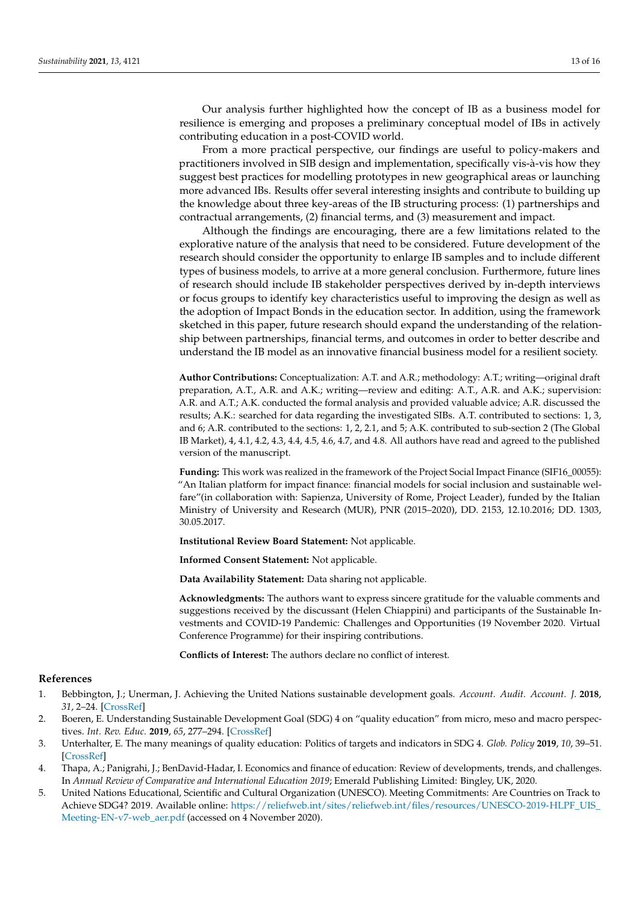Our analysis further highlighted how the concept of IB as a business model for resilience is emerging and proposes a preliminary conceptual model of IBs in actively contributing education in a post-COVID world.

From a more practical perspective, our findings are useful to policy-makers and practitioners involved in SIB design and implementation, specifically vis-à-vis how they suggest best practices for modelling prototypes in new geographical areas or launching more advanced IBs. Results offer several interesting insights and contribute to building up the knowledge about three key-areas of the IB structuring process: (1) partnerships and contractual arrangements, (2) financial terms, and (3) measurement and impact.

Although the findings are encouraging, there are a few limitations related to the explorative nature of the analysis that need to be considered. Future development of the research should consider the opportunity to enlarge IB samples and to include different types of business models, to arrive at a more general conclusion. Furthermore, future lines of research should include IB stakeholder perspectives derived by in-depth interviews or focus groups to identify key characteristics useful to improving the design as well as the adoption of Impact Bonds in the education sector. In addition, using the framework sketched in this paper, future research should expand the understanding of the relationship between partnerships, financial terms, and outcomes in order to better describe and understand the IB model as an innovative financial business model for a resilient society.

**Author Contributions:** Conceptualization: A.T. and A.R.; methodology: A.T.; writing—original draft preparation, A.T., A.R. and A.K.; writing—review and editing: A.T., A.R. and A.K.; supervision: A.R. and A.T.; A.K. conducted the formal analysis and provided valuable advice; A.R. discussed the results; A.K.: searched for data regarding the investigated SIBs. A.T. contributed to sections: 1, 3, and 6; A.R. contributed to the sections: 1, 2, 2.1, and 5; A.K. contributed to sub-section 2 (The Global IB Market), 4, 4.1, 4.2, 4.3, 4.4, 4.5, 4.6, 4.7, and 4.8. All authors have read and agreed to the published version of the manuscript.

Funding: This work was realized in the framework of the Project Social Impact Finance (SIF16\_00055): "An Italian platform for impact finance: financial models for social inclusion and sustainable welfare"(in collaboration with: Sapienza, University of Rome, Project Leader), funded by the Italian Ministry of University and Research (MUR), PNR (2015–2020), DD. 2153, 12.10.2016; DD. 1303, 30.05.2017.

**Institutional Review Board Statement:** Not applicable.

**Informed Consent Statement:** Not applicable.

**Data Availability Statement:** Data sharing not applicable.

**Acknowledgments:** The authors want to express sincere gratitude for the valuable comments and suggestions received by the discussant (Helen Chiappini) and participants of the Sustainable Investments and COVID-19 Pandemic: Challenges and Opportunities (19 November 2020. Virtual Conference Programme) for their inspiring contributions.

**Conflicts of Interest:** The authors declare no conflict of interest.

#### **References**

- <span id="page-12-0"></span>1. Bebbington, J.; Unerman, J. Achieving the United Nations sustainable development goals. *Account. Audit. Account. J.* **2018**, *31*, 2–24. [\[CrossRef\]](http://doi.org/10.1108/AAAJ-05-2017-2929)
- <span id="page-12-1"></span>2. Boeren, E. Understanding Sustainable Development Goal (SDG) 4 on "quality education" from micro, meso and macro perspectives. *Int. Rev. Educ.* **2019**, *65*, 277–294. [\[CrossRef\]](http://doi.org/10.1007/s11159-019-09772-7)
- <span id="page-12-2"></span>3. Unterhalter, E. The many meanings of quality education: Politics of targets and indicators in SDG 4. *Glob. Policy* **2019**, *10*, 39–51. [\[CrossRef\]](http://doi.org/10.1111/1758-5899.12591)
- <span id="page-12-3"></span>4. Thapa, A.; Panigrahi, J.; BenDavid-Hadar, I. Economics and finance of education: Review of developments, trends, and challenges. In *Annual Review of Comparative and International Education 2019*; Emerald Publishing Limited: Bingley, UK, 2020.
- <span id="page-12-4"></span>5. United Nations Educational, Scientific and Cultural Organization (UNESCO). Meeting Commitments: Are Countries on Track to Achieve SDG4? 2019. Available online: [https://reliefweb.int/sites/reliefweb.int/files/resources/UNESCO-2019-HLPF\\_UIS\\_](https://reliefweb.int/sites/reliefweb.int/files/resources/UNESCO-2019-HLPF_UIS_Meeting-EN-v7-web_aer.pdf) [Meeting-EN-v7-web\\_aer.pdf](https://reliefweb.int/sites/reliefweb.int/files/resources/UNESCO-2019-HLPF_UIS_Meeting-EN-v7-web_aer.pdf) (accessed on 4 November 2020).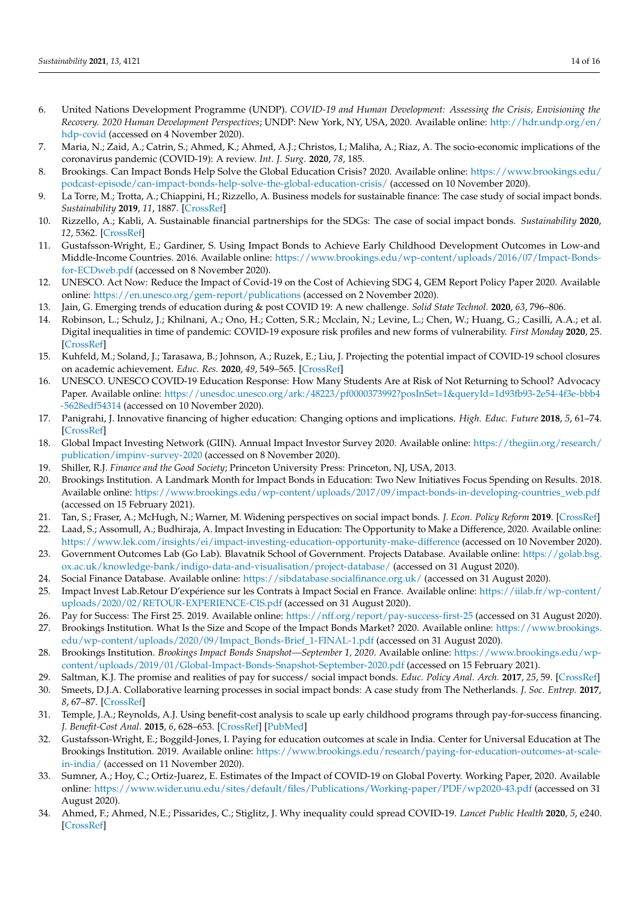- <span id="page-13-0"></span>6. United Nations Development Programme (UNDP). *COVID-19 and Human Development: Assessing the Crisis, Envisioning the Recovery. 2020 Human Development Perspectives*; UNDP: New York, NY, USA, 2020. Available online: [http://hdr.undp.org/en/](http://hdr.undp.org/en/hdp-covid) [hdp-covid](http://hdr.undp.org/en/hdp-covid) (accessed on 4 November 2020).
- <span id="page-13-1"></span>7. Maria, N.; Zaid, A.; Catrin, S.; Ahmed, K.; Ahmed, A.J.; Christos, I.; Maliha, A.; Riaz, A. The socio-economic implications of the coronavirus pandemic (COVID-19): A review. *Int. J. Surg.* **2020**, *78*, 185.
- <span id="page-13-2"></span>8. Brookings. Can Impact Bonds Help Solve the Global Education Crisis? 2020. Available online: [https://www.brookings.edu/](https://www.brookings.edu/podcast-episode/can-impact-bonds-help-solve-the-global-education-crisis/) [podcast-episode/can-impact-bonds-help-solve-the-global-education-crisis/](https://www.brookings.edu/podcast-episode/can-impact-bonds-help-solve-the-global-education-crisis/) (accessed on 10 November 2020).
- <span id="page-13-3"></span>9. La Torre, M.; Trotta, A.; Chiappini, H.; Rizzello, A. Business models for sustainable finance: The case study of social impact bonds. *Sustainability* **2019**, *11*, 1887. [\[CrossRef\]](http://doi.org/10.3390/su11071887)
- <span id="page-13-4"></span>10. Rizzello, A.; Kabli, A. Sustainable financial partnerships for the SDGs: The case of social impact bonds. *Sustainability* **2020**, *12*, 5362. [\[CrossRef\]](http://doi.org/10.3390/su12135362)
- <span id="page-13-5"></span>11. Gustafsson-Wright, E.; Gardiner, S. Using Impact Bonds to Achieve Early Childhood Development Outcomes in Low-and Middle-Income Countries. 2016. Available online: [https://www.brookings.edu/wp-content/uploads/2016/07/Impact-Bonds](https://www.brookings.edu/wp-content/uploads/2016/07/Impact-Bonds-for-ECDweb.pdf)[for-ECDweb.pdf](https://www.brookings.edu/wp-content/uploads/2016/07/Impact-Bonds-for-ECDweb.pdf) (accessed on 8 November 2020).
- <span id="page-13-6"></span>12. UNESCO. Act Now: Reduce the Impact of Covid-19 on the Cost of Achieving SDG 4, GEM Report Policy Paper 2020. Available online: <https://en.unesco.org/gem-report/publications> (accessed on 2 November 2020).
- <span id="page-13-7"></span>13. Jain, G. Emerging trends of education during & post COVID 19: A new challenge. *Solid State Technol.* **2020**, *63*, 796–806.
- <span id="page-13-8"></span>14. Robinson, L.; Schulz, J.; Khilnani, A.; Ono, H.; Cotten, S.R.; Mcclain, N.; Levine, L.; Chen, W.; Huang, G.; Casilli, A.A.; et al. Digital inequalities in time of pandemic: COVID-19 exposure risk profiles and new forms of vulnerability. *First Monday* **2020**, 25. [\[CrossRef\]](http://doi.org/10.5210/fm.v25i7.10845)
- <span id="page-13-9"></span>15. Kuhfeld, M.; Soland, J.; Tarasawa, B.; Johnson, A.; Ruzek, E.; Liu, J. Projecting the potential impact of COVID-19 school closures on academic achievement. *Educ. Res.* **2020**, *49*, 549–565. [\[CrossRef\]](http://doi.org/10.3102/0013189X20965918)
- <span id="page-13-10"></span>16. UNESCO. UNESCO COVID-19 Education Response: How Many Students Are at Risk of Not Returning to School? Advocacy Paper. Available online: [https://unesdoc.unesco.org/ark:/48223/pf0000373992?posInSet=1&queryId=1d93fb93-2e54-4f3e-bbb4](https://unesdoc.unesco.org/ark:/48223/pf0000373992?posInSet=1&queryId=1d93fb93-2e54-4f3e-bbb4-5628edf54314) [-5628edf54314](https://unesdoc.unesco.org/ark:/48223/pf0000373992?posInSet=1&queryId=1d93fb93-2e54-4f3e-bbb4-5628edf54314) (accessed on 10 November 2020).
- <span id="page-13-11"></span>17. Panigrahi, J. Innovative financing of higher education: Changing options and implications. *High. Educ. Future* **2018**, *5*, 61–74. [\[CrossRef\]](http://doi.org/10.1177/2347631117738644)
- <span id="page-13-12"></span>18. Global Impact Investing Network (GIIN). Annual Impact Investor Survey 2020. Available online: [https://thegiin.org/research/](https://thegiin.org/research/publication/impinv-survey-2020) [publication/impinv-survey-2020](https://thegiin.org/research/publication/impinv-survey-2020) (accessed on 8 November 2020).
- <span id="page-13-13"></span>19. Shiller, R.J. *Finance and the Good Society*; Princeton University Press: Princeton, NJ, USA, 2013.
- <span id="page-13-14"></span>20. Brookings Institution. A Landmark Month for Impact Bonds in Education: Two New Initiatives Focus Spending on Results. 2018. Available online: [https://www.brookings.edu/wp-content/uploads/2017/09/impact-bonds-in-developing-countries\\_web.pdf](https://www.brookings.edu/wp-content/uploads/2017/09/impact-bonds-in-developing-countries_web.pdf) (accessed on 15 February 2021).
- <span id="page-13-15"></span>21. Tan, S.; Fraser, A.; McHugh, N.; Warner, M. Widening perspectives on social impact bonds. *J. Econ. Policy Reform* **2019**. [\[CrossRef\]](http://doi.org/10.1080/17487870.2019.1568249)
- <span id="page-13-16"></span>22. Laad, S.; Assomull, A.; Budhiraja, A. Impact Investing in Education: The Opportunity to Make a Difference, 2020. Available online: <https://www.lek.com/insights/ei/impact-investing-education-opportunity-make-difference> (accessed on 10 November 2020).
- <span id="page-13-17"></span>23. Government Outcomes Lab (Go Lab). Blavatnik School of Government. Projects Database. Available online: [https://golab.bsg.](https://golab.bsg.ox.ac.uk/knowledge-bank/indigo-data-and-visualisation/project-database/) [ox.ac.uk/knowledge-bank/indigo-data-and-visualisation/project-database/](https://golab.bsg.ox.ac.uk/knowledge-bank/indigo-data-and-visualisation/project-database/) (accessed on 31 August 2020).
- 24. Social Finance Database. Available online: <https://sibdatabase.socialfinance.org.uk/> (accessed on 31 August 2020).
- <span id="page-13-25"></span>25. Impact Invest Lab.Retour D'expérience sur les Contrats à Impact Social en France. Available online: [https://iilab.fr/wp-content/](https://iilab.fr/wp-content/uploads/2020/02/RETOUR-EXPERIENCE-CIS.pdf) [uploads/2020/02/RETOUR-EXPERIENCE-CIS.pdf](https://iilab.fr/wp-content/uploads/2020/02/RETOUR-EXPERIENCE-CIS.pdf) (accessed on 31 August 2020).
- <span id="page-13-24"></span>26. Pay for Success: The First 25. 2019. Available online: <https://nff.org/report/pay-success-first-25> (accessed on 31 August 2020).
- 27. Brookings Institution. What Is the Size and Scope of the Impact Bonds Market? 2020. Available online: [https://www.brookings.](https://www.brookings.edu/wp-content/uploads/2020/09/Impact_Bonds-Brief_1-FINAL-1.pdf) [edu/wp-content/uploads/2020/09/Impact\\_Bonds-Brief\\_1-FINAL-1.pdf](https://www.brookings.edu/wp-content/uploads/2020/09/Impact_Bonds-Brief_1-FINAL-1.pdf) (accessed on 31 August 2020).
- <span id="page-13-18"></span>28. Brookings Institution. *Brookings Impact Bonds Snapshot—September 1, 2020*. Available online: [https://www.brookings.edu/wp](https://www.brookings.edu/wp-content/uploads/2019/01/Global-Impact-Bonds-Snapshot-September-2020.pdf)[content/uploads/2019/01/Global-Impact-Bonds-Snapshot-September-2020.pdf](https://www.brookings.edu/wp-content/uploads/2019/01/Global-Impact-Bonds-Snapshot-September-2020.pdf) (accessed on 15 February 2021).
- <span id="page-13-19"></span>29. Saltman, K.J. The promise and realities of pay for success/ social impact bonds. *Educ. Policy Anal. Arch.* **2017**, *25*, 59. [\[CrossRef\]](http://doi.org/10.14507/epaa.25.2640)
- 30. Smeets, D.J.A. Collaborative learning processes in social impact bonds: A case study from The Netherlands. *J. Soc. Entrep.* **2017**, *8*, 67–87. [\[CrossRef\]](http://doi.org/10.1080/19420676.2017.1299034)
- <span id="page-13-20"></span>31. Temple, J.A.; Reynolds, A.J. Using benefit-cost analysis to scale up early childhood programs through pay-for-success financing. *J. Benefit-Cost Anal.* **2015**, *6*, 628–653. [\[CrossRef\]](http://doi.org/10.1017/bca.2015.54) [\[PubMed\]](http://www.ncbi.nlm.nih.gov/pubmed/27882288)
- <span id="page-13-21"></span>32. Gustafsson-Wright, E.; Boggild-Jones, I. Paying for education outcomes at scale in India. Center for Universal Education at The Brookings Institution. 2019. Available online: [https://www.brookings.edu/research/paying-for-education-outcomes-at-scale](https://www.brookings.edu/research/paying-for-education-outcomes-at-scale-in-india/)[in-india/](https://www.brookings.edu/research/paying-for-education-outcomes-at-scale-in-india/) (accessed on 11 November 2020).
- <span id="page-13-22"></span>33. Sumner, A.; Hoy, C.; Ortiz-Juarez, E. Estimates of the Impact of COVID-19 on Global Poverty. Working Paper, 2020. Available online: <https://www.wider.unu.edu/sites/default/files/Publications/Working-paper/PDF/wp2020-43.pdf> (accessed on 31 August 2020).
- <span id="page-13-23"></span>34. Ahmed, F.; Ahmed, N.E.; Pissarides, C.; Stiglitz, J. Why inequality could spread COVID-19. *Lancet Public Health* **2020**, *5*, e240. [\[CrossRef\]](http://doi.org/10.1016/S2468-2667(20)30085-2)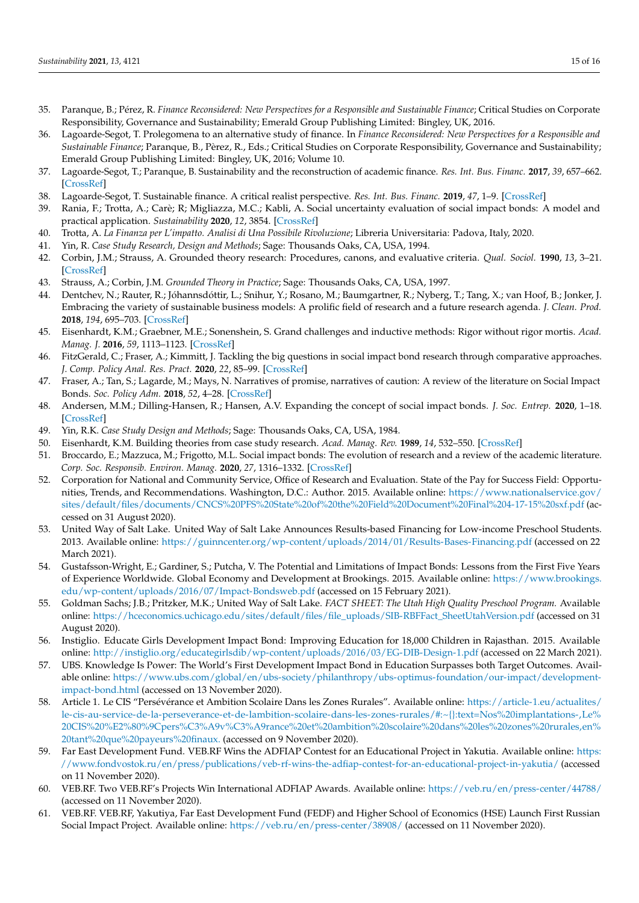- <span id="page-14-0"></span>35. Paranque, B.; Pérez, R. *Finance Reconsidered: New Perspectives for a Responsible and Sustainable Finance*; Critical Studies on Corporate Responsibility, Governance and Sustainability; Emerald Group Publishing Limited: Bingley, UK, 2016.
- <span id="page-14-2"></span>36. Lagoarde-Segot, T. Prolegomena to an alternative study of finance. In *Finance Reconsidered: New Perspectives for a Responsible and Sustainable Finance*; Paranque, B., Pèrez, R., Eds.; Critical Studies on Corporate Responsibility, Governance and Sustainability; Emerald Group Publishing Limited: Bingley, UK, 2016; Volume 10.
- 37. Lagoarde-Segot, T.; Paranque, B. Sustainability and the reconstruction of academic finance. *Res. Int. Bus. Financ.* **2017**, *39*, 657–662. [\[CrossRef\]](http://doi.org/10.1016/j.ribaf.2016.03.002)
- <span id="page-14-1"></span>38. Lagoarde-Segot, T. Sustainable finance. A critical realist perspective. *Res. Int. Bus. Financ.* **2019**, *47*, 1–9. [\[CrossRef\]](http://doi.org/10.1016/j.ribaf.2018.04.010)
- <span id="page-14-3"></span>39. Rania, F.; Trotta, A.; Carè; R; Migliazza, M.C.; Kabli, A. Social uncertainty evaluation of social impact bonds: A model and practical application. *Sustainability* **2020**, *12*, 3854. [\[CrossRef\]](http://doi.org/10.3390/su12093854)
- <span id="page-14-4"></span>40. Trotta, A. *La Finanza per L'impatto. Analisi di Una Possibile Rivoluzione*; Libreria Universitaria: Padova, Italy, 2020.
- <span id="page-14-5"></span>41. Yin, R. *Case Study Research, Design and Methods*; Sage: Thousands Oaks, CA, USA, 1994.
- <span id="page-14-6"></span>42. Corbin, J.M.; Strauss, A. Grounded theory research: Procedures, canons, and evaluative criteria. *Qual. Sociol.* **1990**, *13*, 3–21. [\[CrossRef\]](http://doi.org/10.1007/BF00988593)
- <span id="page-14-7"></span>43. Strauss, A.; Corbin, J.M. *Grounded Theory in Practice*; Sage: Thousands Oaks, CA, USA, 1997.
- <span id="page-14-8"></span>44. Dentchev, N.; Rauter, R.; Jóhannsdóttir, L.; Snihur, Y.; Rosano, M.; Baumgartner, R.; Nyberg, T.; Tang, X.; van Hoof, B.; Jonker, J. Embracing the variety of sustainable business models: A prolific field of research and a future research agenda. *J. Clean. Prod.* **2018**, *194*, 695–703. [\[CrossRef\]](http://doi.org/10.1016/j.jclepro.2018.05.156)
- <span id="page-14-9"></span>45. Eisenhardt, K.M.; Graebner, M.E.; Sonenshein, S. Grand challenges and inductive methods: Rigor without rigor mortis. *Acad. Manag. J.* **2016**, *59*, 1113–1123. [\[CrossRef\]](http://doi.org/10.5465/amj.2016.4004)
- <span id="page-14-10"></span>46. FitzGerald, C.; Fraser, A.; Kimmitt, J. Tackling the big questions in social impact bond research through comparative approaches. *J. Comp. Policy Anal. Res. Pract.* **2020**, *22*, 85–99. [\[CrossRef\]](http://doi.org/10.1080/13876988.2020.1726177)
- 47. Fraser, A.; Tan, S.; Lagarde, M.; Mays, N. Narratives of promise, narratives of caution: A review of the literature on Social Impact Bonds. *Soc. Policy Adm.* **2018**, *52*, 4–28. [\[CrossRef\]](http://doi.org/10.1111/spol.12260)
- <span id="page-14-11"></span>48. Andersen, M.M.; Dilling-Hansen, R.; Hansen, A.V. Expanding the concept of social impact bonds. *J. Soc. Entrep.* **2020**, 1–18. [\[CrossRef\]](http://doi.org/10.1080/19420676.2020.1806100)
- <span id="page-14-12"></span>49. Yin, R.K. *Case Study Design and Methods*; Sage: Thousands Oaks, CA, USA, 1984.
- <span id="page-14-13"></span>50. Eisenhardt, K.M. Building theories from case study research. *Acad. Manag. Rev.* **1989**, *14*, 532–550. [\[CrossRef\]](http://doi.org/10.5465/amr.1989.4308385)
- <span id="page-14-14"></span>51. Broccardo, E.; Mazzuca, M.; Frigotto, M.L. Social impact bonds: The evolution of research and a review of the academic literature. *Corp. Soc. Responsib. Environ. Manag.* **2020**, *27*, 1316–1332. [\[CrossRef\]](http://doi.org/10.1002/csr.1886)
- <span id="page-14-15"></span>52. Corporation for National and Community Service, Office of Research and Evaluation. State of the Pay for Success Field: Opportunities, Trends, and Recommendations. Washington, D.C.: Author. 2015. Available online: [https://www.nationalservice.gov/](https://www.nationalservice.gov/sites/default/files/documents/CNCS%20PFS%20State%20of%20the%20Field%20Document%20Final%204-17-15%20sxf.pdf) [sites/default/files/documents/CNCS%20PFS%20State%20of%20the%20Field%20Document%20Final%204-17-15%20sxf.pdf](https://www.nationalservice.gov/sites/default/files/documents/CNCS%20PFS%20State%20of%20the%20Field%20Document%20Final%204-17-15%20sxf.pdf) (accessed on 31 August 2020).
- <span id="page-14-17"></span>53. United Way of Salt Lake. United Way of Salt Lake Announces Results-based Financing for Low-income Preschool Students. 2013. Available online: <https://guinncenter.org/wp-content/uploads/2014/01/Results-Bases-Financing.pdf> (accessed on 22 March 2021).
- <span id="page-14-16"></span>54. Gustafsson-Wright, E.; Gardiner, S.; Putcha, V. The Potential and Limitations of Impact Bonds: Lessons from the First Five Years of Experience Worldwide. Global Economy and Development at Brookings. 2015. Available online: [https://www.brookings.](https://www.brookings.edu/wp-content/uploads/2016/07/Impact-Bondsweb.pdf) [edu/wp-content/uploads/2016/07/Impact-Bondsweb.pdf](https://www.brookings.edu/wp-content/uploads/2016/07/Impact-Bondsweb.pdf) (accessed on 15 February 2021).
- <span id="page-14-18"></span>55. Goldman Sachs; J.B.; Pritzker, M.K.; United Way of Salt Lake. *FACT SHEET: The Utah High Quality Preschool Program.* Available online: [https://hceconomics.uchicago.edu/sites/default/files/file\\_uploads/SIB-RBFFact\\_SheetUtahVersion.pdf](https://hceconomics.uchicago.edu/sites/default/files/file_uploads/SIB-RBFFact_SheetUtahVersion.pdf) (accessed on 31 August 2020).
- <span id="page-14-19"></span>56. Instiglio. Educate Girls Development Impact Bond: Improving Education for 18,000 Children in Rajasthan. 2015. Available online: <http://instiglio.org/educategirlsdib/wp-content/uploads/2016/03/EG-DIB-Design-1.pdf> (accessed on 22 March 2021).
- <span id="page-14-20"></span>57. UBS. Knowledge Is Power: The World's First Development Impact Bond in Education Surpasses both Target Outcomes. Available online: [https://www.ubs.com/global/en/ubs-society/philanthropy/ubs-optimus-foundation/our-impact/development](https://www.ubs.com/global/en/ubs-society/philanthropy/ubs-optimus-foundation/our-impact/development-impact-bond.html)[impact-bond.html](https://www.ubs.com/global/en/ubs-society/philanthropy/ubs-optimus-foundation/our-impact/development-impact-bond.html) (accessed on 13 November 2020).
- <span id="page-14-21"></span>58. Article 1. Le CIS "Persévérance et Ambition Scolaire Dans les Zones Rurales". Available online: [https://article-1.eu/actualites/](https://article-1.eu/actualites/le-cis-au-service-de-la-perseverance-et-de-lambition-scolaire-dans-les-zones-rurales/#:~{}:text=Nos%20implantations-,Le%20CIS%20%E2%80%9Cpers%C3%A9v%C3%A9rance%20et%20ambition%20scolaire%20dans%20les%20zones%20rurales,en%20tant%20que%20payeurs%20finaux.) [le-cis-au-service-de-la-perseverance-et-de-lambition-scolaire-dans-les-zones-rurales/#:~{}:text=Nos%20implantations-,Le%](https://article-1.eu/actualites/le-cis-au-service-de-la-perseverance-et-de-lambition-scolaire-dans-les-zones-rurales/#:~{}:text=Nos%20implantations-,Le%20CIS%20%E2%80%9Cpers%C3%A9v%C3%A9rance%20et%20ambition%20scolaire%20dans%20les%20zones%20rurales,en%20tant%20que%20payeurs%20finaux.) [20CIS%20%E2%80%9Cpers%C3%A9v%C3%A9rance%20et%20ambition%20scolaire%20dans%20les%20zones%20rurales,en%](https://article-1.eu/actualites/le-cis-au-service-de-la-perseverance-et-de-lambition-scolaire-dans-les-zones-rurales/#:~{}:text=Nos%20implantations-,Le%20CIS%20%E2%80%9Cpers%C3%A9v%C3%A9rance%20et%20ambition%20scolaire%20dans%20les%20zones%20rurales,en%20tant%20que%20payeurs%20finaux.) [20tant%20que%20payeurs%20finaux.](https://article-1.eu/actualites/le-cis-au-service-de-la-perseverance-et-de-lambition-scolaire-dans-les-zones-rurales/#:~{}:text=Nos%20implantations-,Le%20CIS%20%E2%80%9Cpers%C3%A9v%C3%A9rance%20et%20ambition%20scolaire%20dans%20les%20zones%20rurales,en%20tant%20que%20payeurs%20finaux.) (accessed on 9 November 2020).
- <span id="page-14-22"></span>59. Far East Development Fund. VEB.RF Wins the ADFIAP Contest for an Educational Project in Yakutia. Available online: [https:](https://www.fondvostok.ru/en/press/publications/veb-rf-wins-the-adfiap-contest-for-an-educational-project-in-yakutia/) [//www.fondvostok.ru/en/press/publications/veb-rf-wins-the-adfiap-contest-for-an-educational-project-in-yakutia/](https://www.fondvostok.ru/en/press/publications/veb-rf-wins-the-adfiap-contest-for-an-educational-project-in-yakutia/) (accessed on 11 November 2020).
- <span id="page-14-24"></span>60. VEB.RF. Two VEB.RF's Projects Win International ADFIAP Awards. Available online: <https://veb.ru/en/press-center/44788/> (accessed on 11 November 2020).
- <span id="page-14-23"></span>61. VEB.RF. VEB.RF, Yakutiya, Far East Development Fund (FEDF) and Higher School of Economics (HSE) Launch First Russian Social Impact Project. Available online: <https://veb.ru/en/press-center/38908/> (accessed on 11 November 2020).